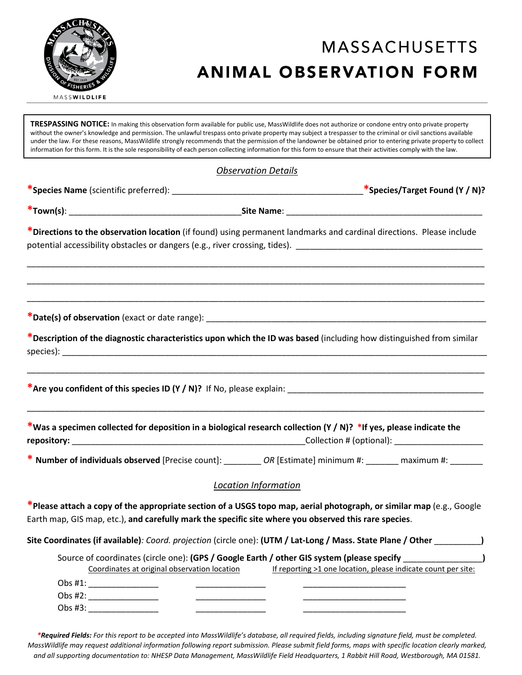

# **MASSACHUSETTS ANIMAL OBSERVATION FORM**

**TRESPASSING NOTICE:** In making this observation form available for public use, MassWildlife does not authorize or condone entry onto private property without the owner's knowledge and permission. The unlawful trespass onto private property may subject a trespasser to the criminal or civil sanctions available under the law. For these reasons, MassWildlife strongly recommends that the permission of the landowner be obtained prior to entering private property to collect information for this form. It is the sole responsibility of each person collecting information for this form to ensure that their activities comply with the law.

### *Observation Details*

**\*Species Name** (scientific preferred): \_\_\_\_\_\_\_\_\_\_\_\_\_\_\_\_\_\_\_\_\_\_\_\_\_\_\_\_\_\_\_\_\_\_\_\_\_\_\_\_\_**\*Species/Target Found (Y / N)?**

**\*Town(s)**: \_\_\_\_\_\_\_\_\_\_\_\_\_\_\_\_\_\_\_\_\_\_\_\_\_\_\_\_\_\_\_\_\_\_\_\_\_**Site Name**: \_\_\_\_\_\_\_\_\_\_\_\_\_\_\_\_\_\_\_\_\_\_\_\_\_\_\_\_\_\_\_\_\_\_\_\_\_\_\_\_\_\_

**\*Directions to the observation location** (if found) using permanent landmarks and cardinal directions. Please include potential accessibility obstacles or dangers (e.g., river crossing, tides). \_\_\_\_\_\_\_\_\_\_\_\_\_\_\_\_\_\_\_\_\_\_\_\_\_\_\_\_\_\_\_\_\_\_

\_\_\_\_\_\_\_\_\_\_\_\_\_\_\_\_\_\_\_\_\_\_\_\_\_\_\_\_\_\_\_\_\_\_\_\_\_\_\_\_\_\_\_\_\_\_\_\_\_\_\_\_\_\_\_\_\_\_\_\_\_\_\_\_\_\_\_\_\_\_\_\_\_\_\_\_\_\_\_\_\_\_\_\_\_\_\_\_\_\_\_\_\_\_\_\_\_\_

\_\_\_\_\_\_\_\_\_\_\_\_\_\_\_\_\_\_\_\_\_\_\_\_\_\_\_\_\_\_\_\_\_\_\_\_\_\_\_\_\_\_\_\_\_\_\_\_\_\_\_\_\_\_\_\_\_\_\_\_\_\_\_\_\_\_\_\_\_\_\_\_\_\_\_\_\_\_\_\_\_\_\_\_\_\_\_\_\_\_\_\_\_\_\_\_\_\_

\_\_\_\_\_\_\_\_\_\_\_\_\_\_\_\_\_\_\_\_\_\_\_\_\_\_\_\_\_\_\_\_\_\_\_\_\_\_\_\_\_\_\_\_\_\_\_\_\_\_\_\_\_\_\_\_\_\_\_\_\_\_\_\_\_\_\_\_\_\_\_\_\_\_\_\_\_\_\_\_\_\_\_\_\_\_\_\_\_\_\_\_\_\_\_\_\_\_

**\*Date(s) of observation** (exact or date range): \_\_\_\_\_\_\_\_\_\_\_\_\_\_\_\_\_\_\_\_\_\_\_\_\_\_\_\_\_\_\_\_\_\_\_\_\_\_\_\_\_\_\_\_\_\_\_\_\_\_\_\_\_\_\_\_\_\_\_\_

**\*Description of the diagnostic characteristics upon which the ID was based** (including how distinguished from similar species): \_\_\_\_\_\_\_\_\_\_\_\_\_\_\_\_\_\_\_\_\_\_\_\_\_\_\_\_\_\_\_\_\_\_\_\_\_\_\_\_\_\_\_\_\_\_\_\_\_\_\_\_\_\_\_\_\_\_\_\_\_\_\_\_\_\_\_\_\_\_\_\_\_\_\_\_\_\_\_\_\_\_\_\_\_\_\_\_\_\_\_

\_\_\_\_\_\_\_\_\_\_\_\_\_\_\_\_\_\_\_\_\_\_\_\_\_\_\_\_\_\_\_\_\_\_\_\_\_\_\_\_\_\_\_\_\_\_\_\_\_\_\_\_\_\_\_\_\_\_\_\_\_\_\_\_\_\_\_\_\_\_\_\_\_\_\_\_\_\_\_\_\_\_\_\_\_\_\_\_\_\_\_\_\_\_\_\_\_\_

\_\_\_\_\_\_\_\_\_\_\_\_\_\_\_\_\_\_\_\_\_\_\_\_\_\_\_\_\_\_\_\_\_\_\_\_\_\_\_\_\_\_\_\_\_\_\_\_\_\_\_\_\_\_\_\_\_\_\_\_\_\_\_\_\_\_\_\_\_\_\_\_\_\_\_\_\_\_\_\_\_\_\_\_\_\_\_\_\_\_\_\_\_\_\_\_\_\_

**\*Are you confident of this species ID (Y / N)?** If No, please explain: \_\_\_\_\_\_\_\_\_\_\_\_\_\_\_\_\_\_\_\_\_\_\_\_\_\_\_\_\_\_\_\_\_\_\_\_\_\_\_\_\_\_

|             | *Was a specimen collected for deposition in a biological research collection (Y / N)? *If yes, please indicate the |
|-------------|--------------------------------------------------------------------------------------------------------------------|
| repository: | Collection # (optional):                                                                                           |

**\* Number of individuals observed** [Precise count]: \_\_\_\_\_\_\_\_ *OR* [Estimate] minimum #: \_\_\_\_\_\_\_ maximum #: \_\_\_\_\_\_\_

### *Location Information*

**\*Please attach a copy of the appropriate section of a USGS topo map, aerial photograph, or similar map** (e.g., Google Earth map, GIS map, etc.), **and carefully mark the specific site where you observed this rare species**.

|  |  | Site Coordinates (if available): Coord. projection (circle one): (UTM / Lat-Long / Mass. State Plane / Other _ |  |
|--|--|----------------------------------------------------------------------------------------------------------------|--|
|--|--|----------------------------------------------------------------------------------------------------------------|--|

| Source of coordinates (circle one): (GPS / Google Earth / other GIS system (please specify |                                                               |  |  |  |
|--------------------------------------------------------------------------------------------|---------------------------------------------------------------|--|--|--|
| Coordinates at original observation location                                               | If reporting >1 one location, please indicate count per site: |  |  |  |
| Obs $#1$ :                                                                                 |                                                               |  |  |  |
| Obs $#2$ :                                                                                 |                                                               |  |  |  |
| Obs $#3$ :                                                                                 |                                                               |  |  |  |

*\*Required Fields: For this report to be accepted into MassWildlife's database, all required fields, including signature field, must be completed. MassWildlife may request additional information following report submission. Please submit field forms, maps with specific location clearly marked, and all supporting documentation to: NHESP Data Management, MassWildlife Field Headquarters, 1 Rabbit Hill Road, Westborough, MA 01581.*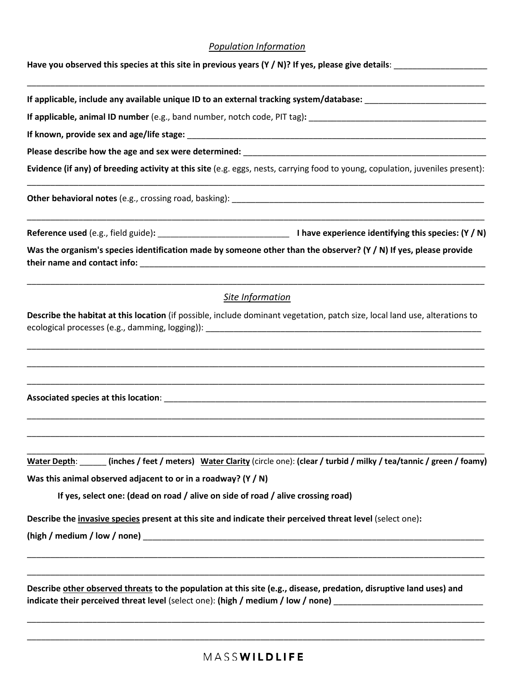### *Population Information*

\_\_\_\_\_\_\_\_\_\_\_\_\_\_\_\_\_\_\_\_\_\_\_\_\_\_\_\_\_\_\_\_\_\_\_\_\_\_\_\_\_\_\_\_\_\_\_\_\_\_\_\_\_\_\_\_\_\_\_\_\_\_\_\_\_\_\_\_\_\_\_\_\_\_\_\_\_\_\_\_\_\_\_\_\_\_\_\_\_\_\_\_\_\_\_\_\_\_

**Have you observed this species at this site in previous years (Y / N)? If yes, please give details**: \_\_\_\_\_\_\_\_\_\_\_\_\_\_\_\_\_\_\_\_

If applicable, include any available unique ID to an external tracking system/database:

**If applicable, animal ID number** (e.g., band number, notch code, PIT tag)**:** \_\_\_\_\_\_\_\_\_\_\_\_\_\_\_\_\_\_\_\_\_\_\_\_\_\_\_\_\_\_\_\_\_\_\_\_\_\_

**If known, provide sex and age/life stage:** \_\_\_\_\_\_\_\_\_\_\_\_\_\_\_\_\_\_\_\_\_\_\_\_\_\_\_\_\_\_\_\_\_\_\_\_\_\_\_\_\_\_\_\_\_\_\_\_\_\_\_\_\_\_\_\_\_\_\_\_\_\_\_\_

Please describe how the age and sex were determined:

**Evidence (if any) of breeding activity at this site** (e.g. eggs, nests, carrying food to young, copulation, juveniles present): \_\_\_\_\_\_\_\_\_\_\_\_\_\_\_\_\_\_\_\_\_\_\_\_\_\_\_\_\_\_\_\_\_\_\_\_\_\_\_\_\_\_\_\_\_\_\_\_\_\_\_\_\_\_\_\_\_\_\_\_\_\_\_\_\_\_\_\_\_\_\_\_\_\_\_\_\_\_\_\_\_\_\_\_\_\_\_\_\_\_\_\_\_\_\_\_\_\_

Other behavioral notes (e.g., crossing road, basking): \_\_\_\_\_\_\_\_\_\_\_\_\_\_\_\_\_\_\_\_\_\_\_\_\_\_

**Reference used** (e.g., field guide)**:** \_\_\_\_\_\_\_\_\_\_\_\_\_\_\_\_\_\_\_\_\_\_\_\_\_\_\_\_\_\_\_ **I have experience identifying this species: (Y / N)**

\_\_\_\_\_\_\_\_\_\_\_\_\_\_\_\_\_\_\_\_\_\_\_\_\_\_\_\_\_\_\_\_\_\_\_\_\_\_\_\_\_\_\_\_\_\_\_\_\_\_\_\_\_\_\_\_\_\_\_\_\_\_\_\_\_\_\_\_\_\_\_\_\_\_\_\_\_\_\_\_\_\_\_\_\_\_\_\_\_\_\_\_\_\_\_\_\_\_

**Was the organism's species identification made by someone other than the observer? (Y / N) If yes, please provide their name and contact info:** \_\_\_\_\_\_\_\_\_\_\_\_\_\_\_\_\_\_\_\_\_\_\_\_\_\_\_\_\_\_\_\_\_\_\_\_\_\_\_\_\_\_\_\_\_\_\_\_\_\_\_\_\_\_\_\_\_\_\_\_\_\_\_\_\_\_\_\_\_\_\_\_\_\_

## \_\_\_\_\_\_\_\_\_\_\_\_\_\_\_\_\_\_\_\_\_\_\_\_\_\_\_\_\_\_\_\_\_\_\_\_\_\_\_\_\_\_\_\_\_\_\_\_\_\_\_\_\_\_\_\_\_\_\_\_\_\_\_\_\_\_\_\_\_\_\_\_\_\_\_\_\_\_\_\_\_\_\_\_\_\_\_\_\_\_\_\_\_\_\_\_\_\_ *Site Information*

**Describe the habitat at this location** (if possible, include dominant vegetation, patch size, local land use, alterations to ecological processes (e.g., damming, logging)):

\_\_\_\_\_\_\_\_\_\_\_\_\_\_\_\_\_\_\_\_\_\_\_\_\_\_\_\_\_\_\_\_\_\_\_\_\_\_\_\_\_\_\_\_\_\_\_\_\_\_\_\_\_\_\_\_\_\_\_\_\_\_\_\_\_\_\_\_\_\_\_\_\_\_\_\_\_\_\_\_\_\_\_\_\_\_\_\_\_\_\_\_\_\_\_\_\_\_

\_\_\_\_\_\_\_\_\_\_\_\_\_\_\_\_\_\_\_\_\_\_\_\_\_\_\_\_\_\_\_\_\_\_\_\_\_\_\_\_\_\_\_\_\_\_\_\_\_\_\_\_\_\_\_\_\_\_\_\_\_\_\_\_\_\_\_\_\_\_\_\_\_\_\_\_\_\_\_\_\_\_\_\_\_\_\_\_\_\_\_\_\_\_\_\_\_\_

\_\_\_\_\_\_\_\_\_\_\_\_\_\_\_\_\_\_\_\_\_\_\_\_\_\_\_\_\_\_\_\_\_\_\_\_\_\_\_\_\_\_\_\_\_\_\_\_\_\_\_\_\_\_\_\_\_\_\_\_\_\_\_\_\_\_\_\_\_\_\_\_\_\_\_\_\_\_\_\_\_\_\_\_\_\_\_\_\_\_\_\_\_\_\_\_\_\_

\_\_\_\_\_\_\_\_\_\_\_\_\_\_\_\_\_\_\_\_\_\_\_\_\_\_\_\_\_\_\_\_\_\_\_\_\_\_\_\_\_\_\_\_\_\_\_\_\_\_\_\_\_\_\_\_\_\_\_\_\_\_\_\_\_\_\_\_\_\_\_\_\_\_\_\_\_\_\_\_\_\_\_\_\_\_\_\_\_\_\_\_\_\_\_\_\_\_

\_\_\_\_\_\_\_\_\_\_\_\_\_\_\_\_\_\_\_\_\_\_\_\_\_\_\_\_\_\_\_\_\_\_\_\_\_\_\_\_\_\_\_\_\_\_\_\_\_\_\_\_\_\_\_\_\_\_\_\_\_\_\_\_\_\_\_\_\_\_\_\_\_\_\_\_\_\_\_\_\_\_\_\_\_\_\_\_\_\_\_\_\_\_\_\_\_\_

**Associated species at this location**: \_\_\_\_\_\_\_\_\_\_\_\_\_\_\_\_\_\_\_\_\_\_\_\_\_\_\_\_\_\_\_\_\_\_\_\_\_\_\_\_\_\_\_\_\_\_\_\_\_\_\_\_\_\_\_\_\_\_\_\_\_\_\_\_\_\_\_\_\_

\_\_\_\_\_\_\_\_\_\_\_\_\_\_\_\_\_\_\_\_\_\_\_\_\_\_\_\_\_\_\_\_\_\_\_\_\_\_\_\_\_\_\_\_\_\_\_\_\_\_\_\_\_\_\_\_\_\_\_\_\_\_\_\_\_\_\_\_\_\_\_\_\_\_\_\_\_\_\_\_\_\_\_\_\_\_\_\_\_\_\_\_\_\_\_\_\_\_ **Water Depth**: \_\_\_\_\_\_ **(inches / feet / meters) Water Clarity** (circle one): **(clear / turbid / milky / tea/tannic / green / foamy) Was this animal observed adjacent to or in a roadway? (Y / N)** 

**If yes, select one: (dead on road / alive on side of road / alive crossing road)**

**Describe the invasive species present at this site and indicate their perceived threat level** (select one)**:** 

**(high / medium / low / none)** \_\_\_\_\_\_\_\_\_\_\_\_\_\_\_\_\_\_\_\_\_\_\_\_\_\_\_\_\_\_\_\_\_\_\_\_\_\_\_\_\_\_\_\_\_\_\_\_\_\_\_\_\_\_\_\_\_\_\_\_\_\_\_\_\_\_\_\_\_\_\_\_\_

**Describe other observed threats to the population at this site (e.g., disease, predation, disruptive land uses) and indicate their perceived threat level** (select one): (high / medium / low / none)

\_\_\_\_\_\_\_\_\_\_\_\_\_\_\_\_\_\_\_\_\_\_\_\_\_\_\_\_\_\_\_\_\_\_\_\_\_\_\_\_\_\_\_\_\_\_\_\_\_\_\_\_\_\_\_\_\_\_\_\_\_\_\_\_\_\_\_\_\_\_\_\_\_\_\_\_\_\_\_\_\_\_\_\_\_\_\_\_\_\_\_\_\_\_\_\_\_\_

\_\_\_\_\_\_\_\_\_\_\_\_\_\_\_\_\_\_\_\_\_\_\_\_\_\_\_\_\_\_\_\_\_\_\_\_\_\_\_\_\_\_\_\_\_\_\_\_\_\_\_\_\_\_\_\_\_\_\_\_\_\_\_\_\_\_\_\_\_\_\_\_\_\_\_\_\_\_\_\_\_\_\_\_\_\_\_\_\_\_\_\_\_\_\_\_\_\_

\_\_\_\_\_\_\_\_\_\_\_\_\_\_\_\_\_\_\_\_\_\_\_\_\_\_\_\_\_\_\_\_\_\_\_\_\_\_\_\_\_\_\_\_\_\_\_\_\_\_\_\_\_\_\_\_\_\_\_\_\_\_\_\_\_\_\_\_\_\_\_\_\_\_\_\_\_\_\_\_\_\_\_\_\_\_\_\_\_\_\_\_\_\_\_\_\_\_

\_\_\_\_\_\_\_\_\_\_\_\_\_\_\_\_\_\_\_\_\_\_\_\_\_\_\_\_\_\_\_\_\_\_\_\_\_\_\_\_\_\_\_\_\_\_\_\_\_\_\_\_\_\_\_\_\_\_\_\_\_\_\_\_\_\_\_\_\_\_\_\_\_\_\_\_\_\_\_\_\_\_\_\_\_\_\_\_\_\_\_\_\_\_\_\_\_\_